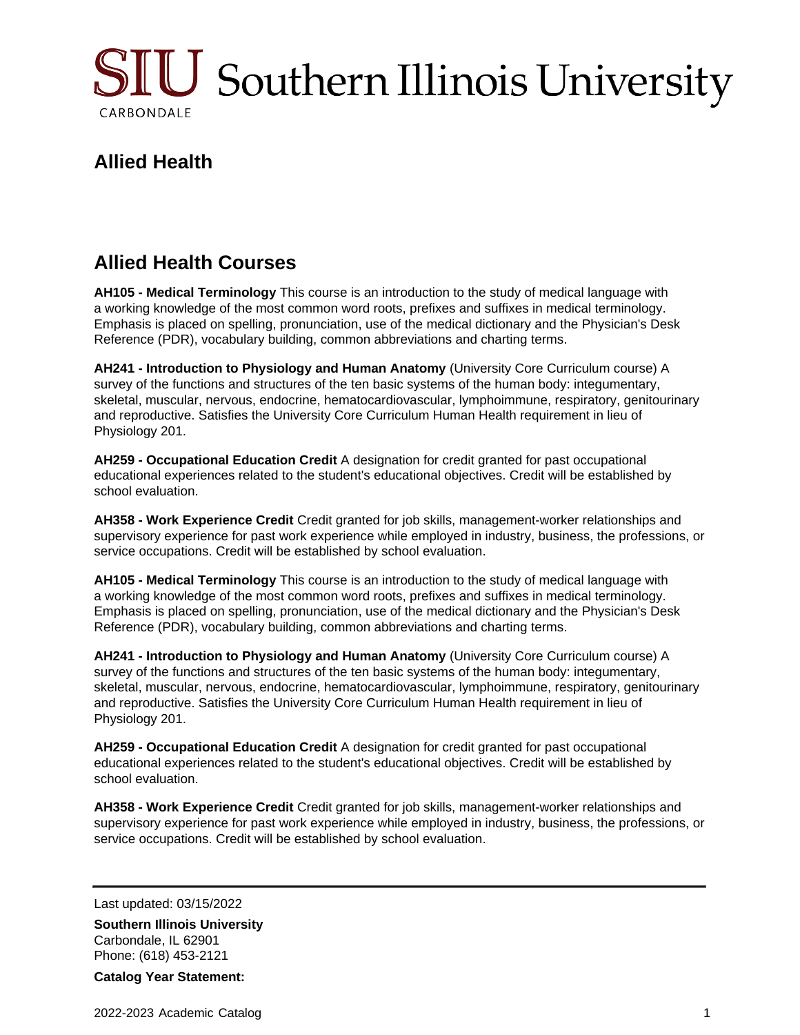

## **Allied Health**

## **Allied Health Courses**

**AH105 - Medical Terminology** This course is an introduction to the study of medical language with a working knowledge of the most common word roots, prefixes and suffixes in medical terminology. Emphasis is placed on spelling, pronunciation, use of the medical dictionary and the Physician's Desk Reference (PDR), vocabulary building, common abbreviations and charting terms.

**AH241 - Introduction to Physiology and Human Anatomy** (University Core Curriculum course) A survey of the functions and structures of the ten basic systems of the human body: integumentary, skeletal, muscular, nervous, endocrine, hematocardiovascular, lymphoimmune, respiratory, genitourinary and reproductive. Satisfies the University Core Curriculum Human Health requirement in lieu of Physiology 201.

**AH259 - Occupational Education Credit** A designation for credit granted for past occupational educational experiences related to the student's educational objectives. Credit will be established by school evaluation.

**AH358 - Work Experience Credit** Credit granted for job skills, management-worker relationships and supervisory experience for past work experience while employed in industry, business, the professions, or service occupations. Credit will be established by school evaluation.

**AH105 - Medical Terminology** This course is an introduction to the study of medical language with a working knowledge of the most common word roots, prefixes and suffixes in medical terminology. Emphasis is placed on spelling, pronunciation, use of the medical dictionary and the Physician's Desk Reference (PDR), vocabulary building, common abbreviations and charting terms.

**AH241 - Introduction to Physiology and Human Anatomy** (University Core Curriculum course) A survey of the functions and structures of the ten basic systems of the human body: integumentary, skeletal, muscular, nervous, endocrine, hematocardiovascular, lymphoimmune, respiratory, genitourinary and reproductive. Satisfies the University Core Curriculum Human Health requirement in lieu of Physiology 201.

**AH259 - Occupational Education Credit** A designation for credit granted for past occupational educational experiences related to the student's educational objectives. Credit will be established by school evaluation.

**AH358 - Work Experience Credit** Credit granted for job skills, management-worker relationships and supervisory experience for past work experience while employed in industry, business, the professions, or service occupations. Credit will be established by school evaluation.

Last updated: 03/15/2022

**Southern Illinois University** Carbondale, IL 62901 Phone: (618) 453-2121

**Catalog Year Statement:**

2022-2023 Academic Catalog 1